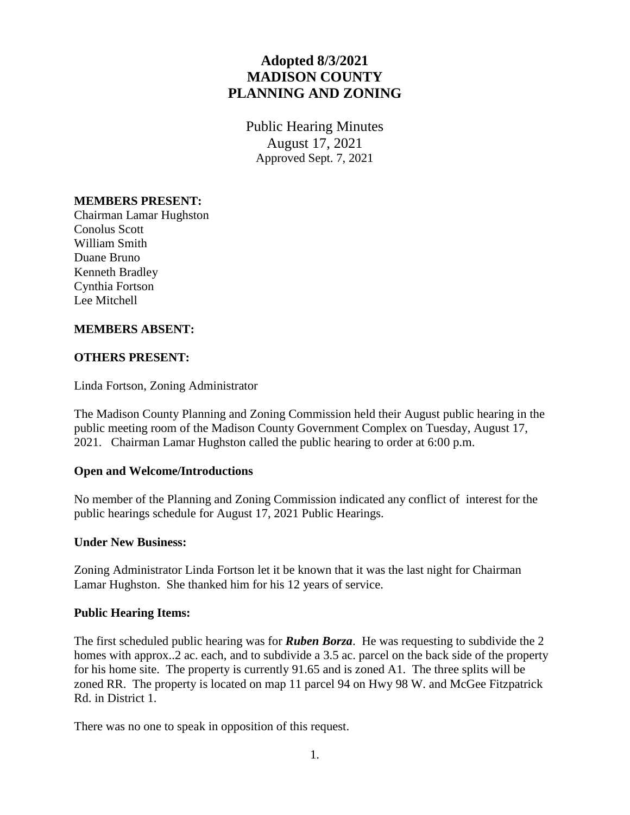# **Adopted 8/3/2021 MADISON COUNTY PLANNING AND ZONING**

Public Hearing Minutes August 17, 2021 Approved Sept. 7, 2021

## **MEMBERS PRESENT:**

Chairman Lamar Hughston Conolus Scott William Smith Duane Bruno Kenneth Bradley Cynthia Fortson Lee Mitchell

### **MEMBERS ABSENT:**

### **OTHERS PRESENT:**

Linda Fortson, Zoning Administrator

The Madison County Planning and Zoning Commission held their August public hearing in the public meeting room of the Madison County Government Complex on Tuesday, August 17, 2021. Chairman Lamar Hughston called the public hearing to order at 6:00 p.m.

### **Open and Welcome/Introductions**

No member of the Planning and Zoning Commission indicated any conflict of interest for the public hearings schedule for August 17, 2021 Public Hearings.

### **Under New Business:**

Zoning Administrator Linda Fortson let it be known that it was the last night for Chairman Lamar Hughston. She thanked him for his 12 years of service.

#### **Public Hearing Items:**

The first scheduled public hearing was for *Ruben Borza*. He was requesting to subdivide the 2 homes with approx..2 ac. each, and to subdivide a 3.5 ac. parcel on the back side of the property for his home site. The property is currently 91.65 and is zoned A1. The three splits will be zoned RR. The property is located on map 11 parcel 94 on Hwy 98 W. and McGee Fitzpatrick Rd. in District 1.

There was no one to speak in opposition of this request.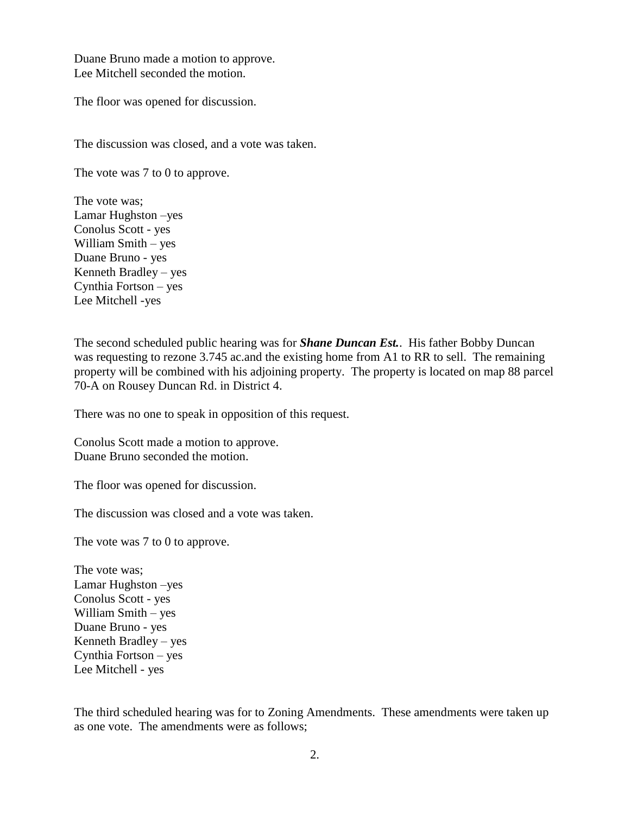Duane Bruno made a motion to approve. Lee Mitchell seconded the motion.

The floor was opened for discussion.

The discussion was closed, and a vote was taken.

The vote was 7 to 0 to approve.

The vote was; Lamar Hughston –yes Conolus Scott - yes William Smith – yes Duane Bruno - yes Kenneth Bradley – yes Cynthia Fortson – yes Lee Mitchell -yes

The second scheduled public hearing was for *Shane Duncan Est.*. His father Bobby Duncan was requesting to rezone 3.745 ac.and the existing home from A1 to RR to sell. The remaining property will be combined with his adjoining property. The property is located on map 88 parcel 70-A on Rousey Duncan Rd. in District 4.

There was no one to speak in opposition of this request.

Conolus Scott made a motion to approve. Duane Bruno seconded the motion.

The floor was opened for discussion.

The discussion was closed and a vote was taken.

The vote was 7 to 0 to approve.

The vote was; Lamar Hughston –yes Conolus Scott - yes William Smith – yes Duane Bruno - yes Kenneth Bradley – yes Cynthia Fortson – yes Lee Mitchell - yes

The third scheduled hearing was for to Zoning Amendments. These amendments were taken up as one vote. The amendments were as follows;